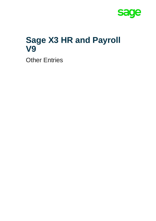

# **Sage X3 HR and Payroll V9**

Other Entries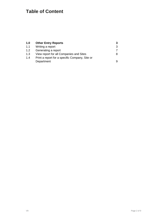## **Table of Content**

| 1.0 | <b>Other Entry Reports</b>                     |   |
|-----|------------------------------------------------|---|
| 1.1 | Writing a report                               | 3 |
| 1.2 | Generating a report                            |   |
| 1.3 | View report for all Companies and Sites        | 8 |
| 1.4 | Print a report for a specific Company, Site or |   |
|     | Department                                     | 9 |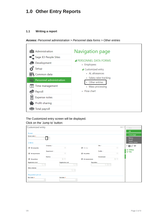## <span id="page-2-0"></span>**1.0 Other Entry Reports**

#### <span id="page-2-1"></span>**1.1 Writing a report**

*Access: Personnel administration > Personnel data forms > Other entries*



The Customized entry screen will be displayed. Click on the 'Jump to' button:

| Customized entry                           |                         |                             |                         | $SAGE$ $\rightarrow$<br><b>New</b>      |
|--------------------------------------------|-------------------------|-----------------------------|-------------------------|-----------------------------------------|
|                                            |                         |                             |                         | OK                                      |
| Screen                                     |                         |                             |                         | Close page                              |
| Screen code *                              |                         |                             |                         | Memo<br>Recall<br>Delete memo           |
| Criteria                                   | Company $\pm$           |                             | Site $\pm$              | $\blacksquare$                          |
| $\boxtimes$ All companies                  | 日                       | $\mathbf{\nabla}$ All sites | $\overline{\mathbf{r}}$ | ・曲                                      |
|                                            | Department *            |                             | Profile $\pm$           | Utilities<br>$\blacktriangleright$ Help |
| $\overline{\mathbf{S}}$<br>All departments | $\overline{\mathbf{r}}$ | All profiles                | $\overline{\mathbf{r}}$ |                                         |
|                                            | <b>Position</b>         |                             | <b>Standard job</b>     |                                         |
| All positions                              | プロ                      | All standard jobs           | - B                     |                                         |
| <b>Registration start</b>                  | <b>Registration end</b> |                             | Population              |                                         |
| Q <sub>E</sub>                             |                         | $Q_{\text{E}}$              | $Q = \blacksquare$      |                                         |
| <b>Other criterion</b>                     |                         |                             |                         |                                         |
|                                            |                         | $Q \equiv$                  |                         |                                         |
| Requested period                           |                         |                             |                         |                                         |
| Start date *                               | End date $\star$        |                             |                         |                                         |
| 飿                                          |                         | m                           |                         |                                         |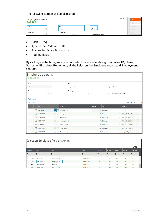#### The following Screen will be displayed:

| Employee screens          |                                     |                      | $SAGE$ $\rightarrow$ | H.<br><b>New</b> |
|---------------------------|-------------------------------------|----------------------|----------------------|------------------|
| 0000                      |                                     |                      |                      | Save             |
| $Code \star$              | Title                               |                      |                      | Create<br>43     |
| $Q \equiv$<br><b>BF</b>   | <b>Brighter Futures</b>             | G Active             |                      | <b>Delete</b>    |
| <b>Access code</b><br>Qヶ国 | <b>Activity code</b><br>$Q \cdot B$ | Employee fields only |                      | Cancel           |

- Click [NEW]
- Type in the Code and Title
- Ensure the Active Box is ticked
- Add the fields

By clicking on the hourglass, you can select common fields e.g. Employee ID, Name, Surname, Birth date, Region etc, all the fields on the Employee record and Employment contract.



| Selection Employee field dictionary<br>00x |                  |               |              |                        |               |           |           |                 |  |
|--------------------------------------------|------------------|---------------|--------------|------------------------|---------------|-----------|-----------|-----------------|--|
| Sequen                                     | <b>Field</b>     | <b>Title</b>  | <b>Table</b> | <b>Activity</b>        | <b>Active</b> | Selecti   | Ledge     | <b>Back-pay</b> |  |
|                                            |                  |               |              |                        |               |           |           |                 |  |
| 2040                                       | SIAIRY           | Status        |              | <b>EMPLOTRY</b>        | Yes           | <b>NO</b> | <b>NO</b> | <b>NO</b>       |  |
| 2060                                       | <b>SRVTRY</b>    | Department    |              | <b>EMPLOTRY</b>        | Yes           | No        | No        | No              |  |
| 9060                                       | <b>REFNUM</b>    | Employee ID   |              | PAY<br><b>EMPLOAD</b>  | Yes           | <b>No</b> | <b>No</b> | <b>No</b>       |  |
| 9999                                       | <b>RATMIDWRK</b> | PT rate       |              | <b>EMPLOCTR</b>        | Yes           | Yes       | No        | No              |  |
| 9999                                       | <b>RAZCUM</b>    | RTZ of totals |              | PAY<br><b>EMPLOCTR</b> | Yes           | Yes       | <b>No</b> | <b>No</b>       |  |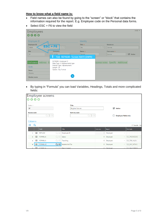#### **How to know what a field name is:**

- Field names can also be found by going to the "screen" or "block" that contains the information required for the report. E.g. Employee code on the Personal data forms.
- Select ESC + F6 to view the field

| Employees<br>0000                                                                                     |                                                                                                                                                                                         |                                              |                                   |                                           | $SAGE =$                 |
|-------------------------------------------------------------------------------------------------------|-----------------------------------------------------------------------------------------------------------------------------------------------------------------------------------------|----------------------------------------------|-----------------------------------|-------------------------------------------|--------------------------|
| <b>Employee ID</b><br><b>Employee ID</b><br>ESC+F6<br>10509<br><b>Site</b>                            | )恒<br>Company                                                                                                                                                                           | Identity<br>Title $\star$<br>Ms.<br>Name $*$ | $Q \equiv$                        | <b>Known</b> as<br>Bonnie<br>First name * |                          |
| <b>BF</b><br>Civil status<br>Address C<br><b>Birth</b><br><b>Name</b><br>Bonnie<br><b>Maiden name</b> | <b>EPDBE</b><br>Field REFNUM / Screen MAT0 [EMP0]<br>REFNUM : Employee ID<br>Data Type: A Alphanumeric type<br>Internal Type : Alphanumeric<br>Length: $25$<br>Option: Key Format<br>Ok | Tamele                                       | Expense notes Specific Additional | Bonnie                                    | $\mathbf{\nabla}$ Active |

• By typing in "Formula" you can load Variables, Headings, Totals and more complicated fields:

|              | <b>Employee screens</b><br>0000   |                |            |                             |                             |                |             |                             |                 |  |
|--------------|-----------------------------------|----------------|------------|-----------------------------|-----------------------------|----------------|-------------|-----------------------------|-----------------|--|
| Code $\star$ |                                   |                |            | <b>Title</b>                |                             |                |             |                             |                 |  |
| <b>BF</b>    |                                   |                |            |                             | <b>Brighter Futures</b>     |                |             | <b>V</b> Active             |                 |  |
| Columns      | <b>Access code</b><br>$Q$ $P$ $E$ |                |            |                             | <b>Activity code</b><br>QFE |                |             | <b>Employee fields only</b> |                 |  |
| 恒            | Q                                 |                |            |                             |                             |                |             |                             | 17 Results Dis  |  |
|              |                                   | <b>Field</b>   |            | <b>Title</b>                |                             | Line no.       | Input       |                             | Formula         |  |
|              | 恒<br>$\overline{1}$               | <b>REFNUM</b>  | $Q \equiv$ | Employee ID                 |                             | $\overline{0}$ | Displayed   | $\overline{\phantom{a}}$    |                 |  |
|              | 恒<br>$\overline{2}$               | <b>FORMULA</b> | $Q \equiv$ | Salary                      |                             | $\mathbf{0}$   | Displayed   | $\overline{\phantom{a}}$    | R_E_PACKAGE(1)  |  |
|              | 恒<br>$\overline{\mathbf{3}}$      | <b>FORMULA</b> | $Q \equiv$ | Travelling                  |                             | 0              | Displayed   | $\overline{\phantom{a}}$    | $R$ E_TRV_AL(1) |  |
|              | 恒<br>4                            | FORMULA        | $Q \equiv$ | Income Incl Tax             |                             | $\mathbf{0}$   | Displayed   | $\overline{\phantom{a}}$    | R_E_INC_NTX(1)  |  |
|              | c.                                | FEI FORMULA    |            | <b>OFFILE</b> Basic Correct |                             |                | 0 Displayed | $\overline{\phantom{a}}$    | R E BA CORR(1)  |  |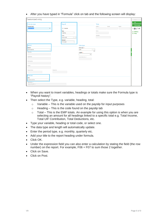• After you have typed in "Formula" click on tab and the following screen will display:

| Customized entry                                               |                                            |                                                   |               |       |       | New                                        |
|----------------------------------------------------------------|--------------------------------------------|---------------------------------------------------|---------------|-------|-------|--------------------------------------------|
| Formula type                                                   | Payroll                                    |                                                   | Time          |       |       | OK                                         |
| Formula type<br>Payroll history<br>٠                           | $\Box$ Formula                             |                                                   | Event $\star$ | Event | Event | Close page<br>$ \oplus$ $\oslash$ $\oplus$ |
|                                                                | Type<br>Heading<br>$\overline{\mathbf{v}}$ |                                                   | Value         |       |       | $\blacktriangleright$ Utilities            |
|                                                                | Code<br>Q E                                |                                                   | Variable      |       |       | $\blacktriangleright$ Help                 |
|                                                                | E_INC_NTX<br>Amount                        |                                                   |               |       |       |                                            |
|                                                                | Employee<br>$\mathbf{v}$                   |                                                   |               |       |       |                                            |
| Period<br>Period                                               |                                            | Data type<br>Data type $\star$                    |               |       |       |                                            |
| Of the period<br>Monthly                                       |                                            | $Q \equiv$<br>DCB<br><b>BCD</b><br>Length $\star$ |               |       |       |                                            |
| Quarterly                                                      |                                            | 9.2<br>Local menu no. *                           |               |       |       |                                            |
| Half-yearly                                                    |                                            |                                                   |               |       |       |                                            |
|                                                                |                                            |                                                   |               |       |       |                                            |
| Yearly                                                         |                                            |                                                   |               |       |       |                                            |
| Period to<br>Period from                                       |                                            |                                                   |               |       |       |                                            |
| Formula                                                        |                                            |                                                   |               |       |       |                                            |
| Title<br>Income Incl Tax                                       |                                            |                                                   |               |       |       |                                            |
| Expression *<br>$\mathbb{R}\_\mathbb{E}\_\mathsf{INC\_NTX(1)}$ |                                            |                                                   |               |       |       |                                            |

- When you want to insert variables, headings or totals make sure the Formula type is "Payroll history".
- Then select the Type, e.g. variable, heading, total:
	- $\circ$  Variable This is the variable used on the payslip for input purposes
	- $\circ$  Heading This is the code found on the payslip tab
	- $\circ$  Total This is the EMP totals. An example for using this option is when you are selecting an amount for all headings linked to a specific total e.g. Total Income, Total UIF Contribution, Total Deductions, etc.
- Type your variable, heading or total code, or select one.
- The data type and length will automatically update.
- Enter the period type, e.g. monthly, quarterly etc.
- Add your title to the report heading under formula.
- Click OK.
- Under the expression field you can also enter a calculation by stating the field (the row number) on the report. For example, F06 + F07 to sum those 2 together.
- Click on Save.
- Click on Post.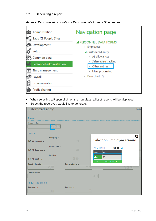### <span id="page-6-0"></span>**1.2 Generating a report**

| Administration<br>Sage X3 People Sites | Navigation page                            |
|----------------------------------------|--------------------------------------------|
| <b>Co.</b> Development                 | <b>PERSONNEL DATA FORMS</b><br>• Employees |
| Setup                                  | ▲ Customized entry                         |
| Common data                            | • AL allowances                            |
| Personnel administration               | · Salary raise tracking<br>Other entries   |
| Time management                        | • Mass processing                          |
| Payroll                                | • Flow chart $\sqrt{x}$                    |
| <b>Expense notes</b><br>E              |                                            |
| Profit-sharing                         |                                            |

• When selecting a Report click, on the hourglass, a list of reports will be displayed.

| Customized entry                      |                    |                         |                             |                            | <b>SAGE</b> |
|---------------------------------------|--------------------|-------------------------|-----------------------------|----------------------------|-------------|
| Screen                                |                    |                         |                             |                            |             |
| Screen code *                         |                    |                         |                             |                            |             |
| Criteria                              |                    |                         |                             |                            |             |
| $\mathbf{\nabla}$ All companies       | Company $\pm$      | 目                       |                             | Selection Employee screens |             |
| <b>All departments</b><br>$\boxtimes$ | Department $\star$ | 园                       | <b>Tx</b> Clear filter      | 00x                        |             |
|                                       | <b>Position</b>    |                         | Title<br>Code<br>*I bf<br>۲ |                            |             |
| All positions                         |                    | 5日                      | <b>BF</b>                   | <b>Brighter Futures</b>    |             |
| <b>Registration start</b>             |                    | <b>Registration end</b> |                             |                            |             |
|                                       | QE                 |                         |                             |                            |             |
| Other criterion                       |                    |                         |                             |                            |             |
|                                       |                    |                         | Q E                         |                            |             |
| Requested period                      |                    |                         |                             |                            |             |
| Start date *                          |                    | End date $\star$        |                             |                            |             |

Select the report you would like to generate.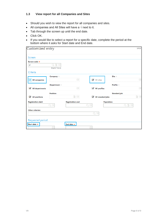#### <span id="page-7-0"></span>**1.3 View report for all Companies and Sites**

- Should you wish to view the report for all companies and sites.
- All companies and All Sites will have a  $\sqrt{ }$  next to it.
- Tab through the screen up until the end date.
- Click OK.
- If you would like to select a report for a specific date, complete the period at the bottom where it asks for Start date and End date.

| Customized entry                                |                         |                         |                                           | <b>SAGE</b>             |
|-------------------------------------------------|-------------------------|-------------------------|-------------------------------------------|-------------------------|
| Screen                                          |                         |                         |                                           |                         |
| Screen code *                                   |                         |                         |                                           |                         |
| <b>BF</b>                                       | P<br>恒                  |                         |                                           |                         |
|                                                 | <b>Brighter Futures</b> |                         |                                           |                         |
| Criteria                                        |                         |                         |                                           |                         |
|                                                 | Company $\pm$           |                         |                                           | Site $\star$            |
| $\triangledown$<br><b>All companies</b>         |                         | 恒                       | All sites                                 | E                       |
|                                                 | Department $\pm$        |                         |                                           | Profile *               |
| $\boldsymbol{\nabla}$<br><b>All departments</b> |                         | 固                       | All profiles                              | $\overline{\mathbf{r}}$ |
|                                                 | <b>Position</b>         |                         |                                           | <b>Standard job</b>     |
| All positions                                   |                         | Đ,<br>目                 | $\blacktriangledown$<br>All standard jobs | 5 国                     |
| <b>Registration start</b>                       |                         | <b>Registration end</b> | Population                                |                         |
|                                                 | QE                      |                         | QE                                        | QT目                     |
| <b>Other criterion</b>                          |                         |                         |                                           |                         |
|                                                 |                         |                         | $Q \equiv$                                |                         |
| Requested period                                |                         |                         |                                           |                         |
| Start date $\star$                              |                         | End date $\star$        |                                           |                         |
|                                                 | Ħ                       |                         | 鯩                                         |                         |